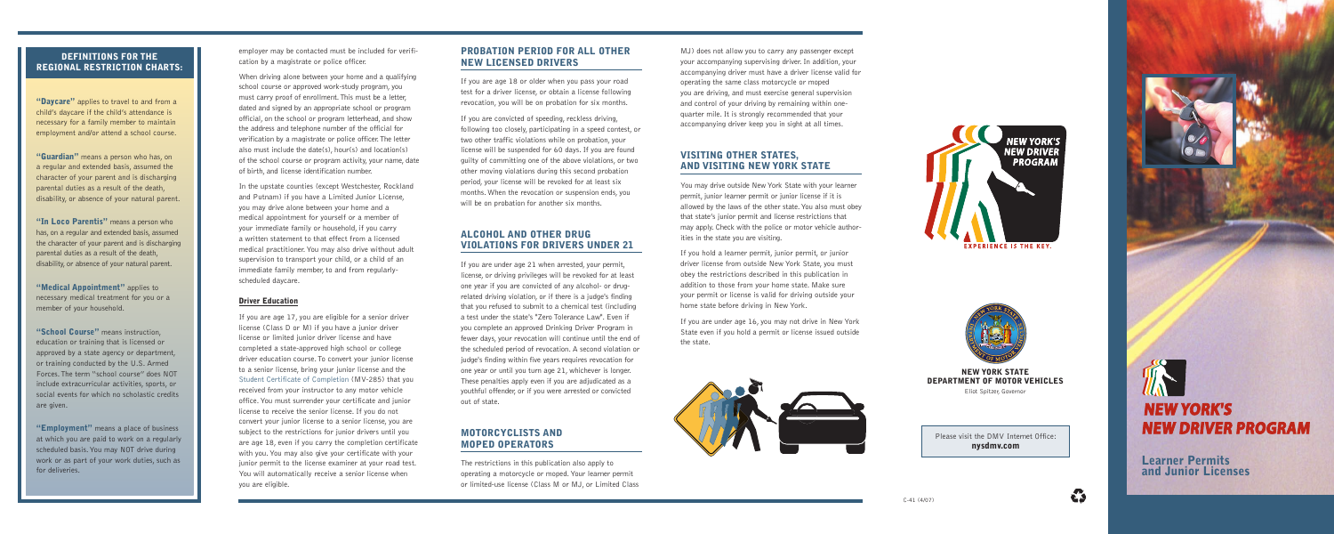## PROBATION PERIOD FOR ALL OTHER NEW LICENSED DRIVERS

If you are convicted of speeding, reckless driving, following too closely, participating in a speed contest, or two other traffic violations while on probation, your license will be suspended for 60 days. If you are found guilty of committing one of the above violations, or two other moving violations during this second probation period, your license will be revoked for at least six months.When the revocation or suspension ends, you will be on probation for another six months.

If you are age 18 or older when you pass your road test for a driver license, or obtain a license following revocation, you will be on probation for six months.

# ALCOHOL AND OTHER DRUG VIOLATIONS FOR DRIVERS UNDER 21

If you are under age 21 when arrested, your permit, license, or driving privileges will be revoked for at least one year if you are convicted of any alcohol- or drugrelated driving violation, or if there is a judge's finding that you refused to submit to a chemical test (including a test under the state's "Zero Tolerance Law". Even if you complete an approved Drinking Driver Program in fewer days, your revocation will continue until the end of the scheduled period of revocation. A second violation or judge's finding within five years requires revocation for one year or until you turn age 21, whichever is longer. These penalties apply even if you are adjudicated as a youthful offender, or if you were arrested or convicted out of state.

## MOTORCYCLISTS AND MOPED OPERATORS

The restrictions in this publication also apply to operating a motorcycle or moped.Your learner permit or limited-use license (Class M or MJ, or Limited Class

employer may be contacted must be included for verification by a magistrate or police officer.

When driving alone between your home and a qualifying school course or approved work-study program, you must carry proof of enrollment.This must be a letter, dated and signed by an appropriate school or program official, on the school or program letterhead, and show the address and telephone number of the official for verification by a magistrate or police officer.The letter also must include the date(s), hour(s) and location(s) of the school course or program activity, your name, date of birth, and license identification number.

"Daycare" applies to travel to and from a child's daycare if the child's attendance is necessary for a family member to maintain employment and/or attend a school course.

> In the upstate counties (except Westchester, Rockland and Putnam) if you have a Limited Junior License, you may drive alone between your home and a medical appointment for yourself or a member of your immediate family or household, if you carry a written statement to that effect from a licensed medical practitioner.You may also drive without adult supervision to transport your child, or a child of an immediate family member, to and from regularlyscheduled daycare.

"Guardian" means a person who has, on a regular and extended basis, assumed the character of your parent and is discharging parental duties as a result of the death, disability, or absence of your natural parent.

"In Loco Parentis" means a person who has, on a regular and extended basis, assumed the character of your parent and is discharging parental duties as a result of the death, disability, or absence of your natural parent.

### Driver Education

"Medical Appointment" applies to necessary medical treatment for you or a member of your household.

"School Course" means instruction, education or training that is licensed or approved by a state agency or department, or training conducted by the U.S. Armed Forces.The term "school course" does NOT include extracurricular activities, sports, or social events for which no scholastic credits are given.

"Employment" means a place of business at which you are paid to work on a regularly scheduled basis.You may NOT drive during work or as part of your work duties, such as for deliveries.

If you are age 17, you are eligible for a senior driver license (Class D or M) if you have a junior driver license or limited junior driver license and have completed a state-approved high school or college driver education course.To convert your junior license to a senior license, bring your junior license and the Student Certificate of Completion (MV-285) that you received from your instructor to any motor vehicle office.You must surrender your certificate and junior license to receive the senior license. If you do not convert your junior license to a senior license, you are subject to the restrictions for junior drivers until you are age 18, even if you carry the completion certificate with you.You may also give your certificate with your junior permit to the license examiner at your road test. You will automatically receive a senior license when you are eligible.

MJ) does not allow you to carry any passenger except your accompanying supervising driver. In addition, your accompanying driver must have a driver license valid for operating the same class motorcycle or moped you are driving, and must exercise general supervision and control of your driving by remaining within onequarter mile. It is strongly recommended that your accompanying driver keep you in sight at all times.

# VISITING OTHER STATES, AND VISITING NEW YORK STATE

You may drive outside New York State with your learner permit, junior learner permit or junior license if it is allowed by the laws of the other state.You also must obey that state's junior permit and license restrictions that may apply. Check with the police or motor vehicle authorities in the state you are visiting.

If you hold a learner permit, junior permit, or junior driver license from outside New York State, you must obey the restrictions described in this publication in addition to those from your home state. Make sure your permit or license is valid for driving outside your home state before driving in New York.

If you are under age 16, you may not drive in New York State even if you hold a permit or license issued outside the state.





# DEFINITIONS FOR THE REGIONAL RESTRICTION CHARTS:

## NEW YORK STATE DEPARTMENT OF MOTOR VEHICLES

Eliot Spitzer, Governor



**A** 

Learner Permits and Junior Licenses

Please visit the DMV Internet Office: nysdmv.com